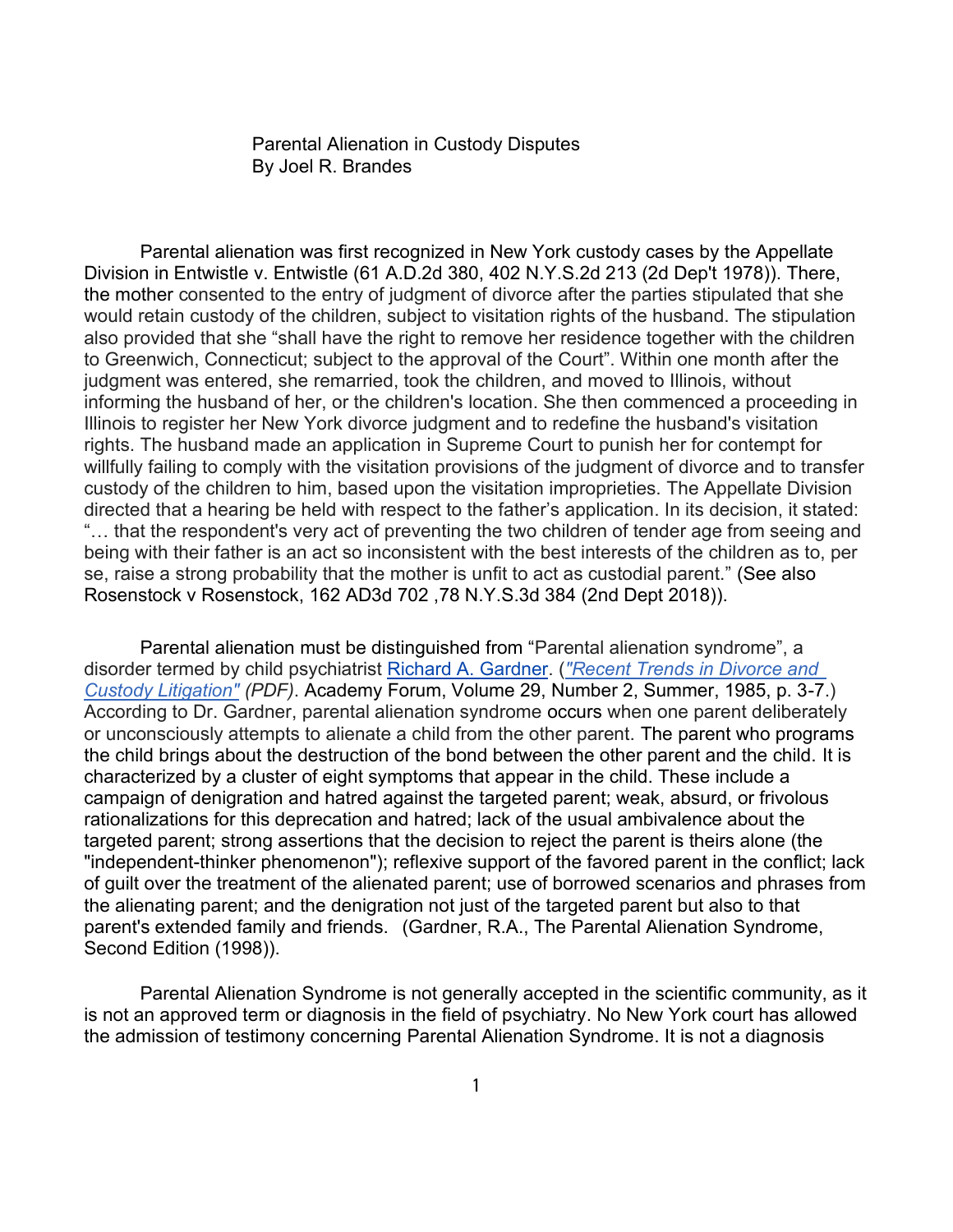Parental Alienation in Custody Disputes By Joel R. Brandes

Parental alienation was first recognized in New York custody cases by the Appellate Division in Entwistle v. Entwistle (61 A.D.2d 380, 402 N.Y.S.2d 213 (2d Dep't 1978)). There, the mother consented to the entry of judgment of divorce after the parties stipulated that she would retain custody of the children, subject to visitation rights of the husband. The stipulation also provided that she "shall have the right to remove her residence together with the children to Greenwich, Connecticut; subject to the approval of the Court". Within one month after the judgment was entered, she remarried, took the children, and moved to Illinois, without informing the husband of her, or the children's location. She then commenced a proceeding in Illinois to register her New York divorce judgment and to redefine the husband's visitation rights. The husband made an application in Supreme Court to punish her for contempt for willfully failing to comply with the visitation provisions of the judgment of divorce and to transfer custody of the children to him, based upon the visitation improprieties. The Appellate Division directed that a hearing be held with respect to the father's application. In its decision, it stated: "… that the respondent's very act of preventing the two children of tender age from seeing and being with their father is an act so inconsistent with the best interests of the children as to, per se, raise a strong probability that the mother is unfit to act as custodial parent." (See also Rosenstock v Rosenstock, 162 AD3d 702 ,78 N.Y.S.3d 384 (2nd Dept 2018)).

Parental alienation must be distinguished from "Parental alienation syndrome", a disorder termed by child psychiatrist [Richard A. Gardner.](https://en.wikipedia.org/wiki/Richard_A._Gardner) (*["Recent Trends in Divorce and](http://fact.on.ca/Info/pas/gardnr85.pdf)  [Custody Litigation"](http://fact.on.ca/Info/pas/gardnr85.pdf) (PDF)*. Academy Forum, Volume 29, Number 2, Summer, 1985, p. 3-7.) According to Dr. Gardner, parental alienation syndrome occurs when one parent deliberately or unconsciously attempts to alienate a child from the other parent. The parent who programs the child brings about the destruction of the bond between the other parent and the child. It is characterized by a cluster of eight symptoms that appear in the child. These include a campaign of denigration and hatred against the targeted parent; weak, absurd, or frivolous rationalizations for this deprecation and hatred; lack of the usual ambivalence about the targeted parent; strong assertions that the decision to reject the parent is theirs alone (the "independent-thinker phenomenon"); reflexive support of the favored parent in the conflict; lack of guilt over the treatment of the alienated parent; use of borrowed scenarios and phrases from the alienating parent; and the denigration not just of the targeted parent but also to that parent's extended family and friends. (Gardner, R.A., The Parental Alienation Syndrome, Second Edition (1998)).

Parental Alienation Syndrome is not generally accepted in the scientific community, as it is not an approved term or diagnosis in the field of psychiatry. No New York court has allowed the admission of testimony concerning Parental Alienation Syndrome. It is not a diagnosis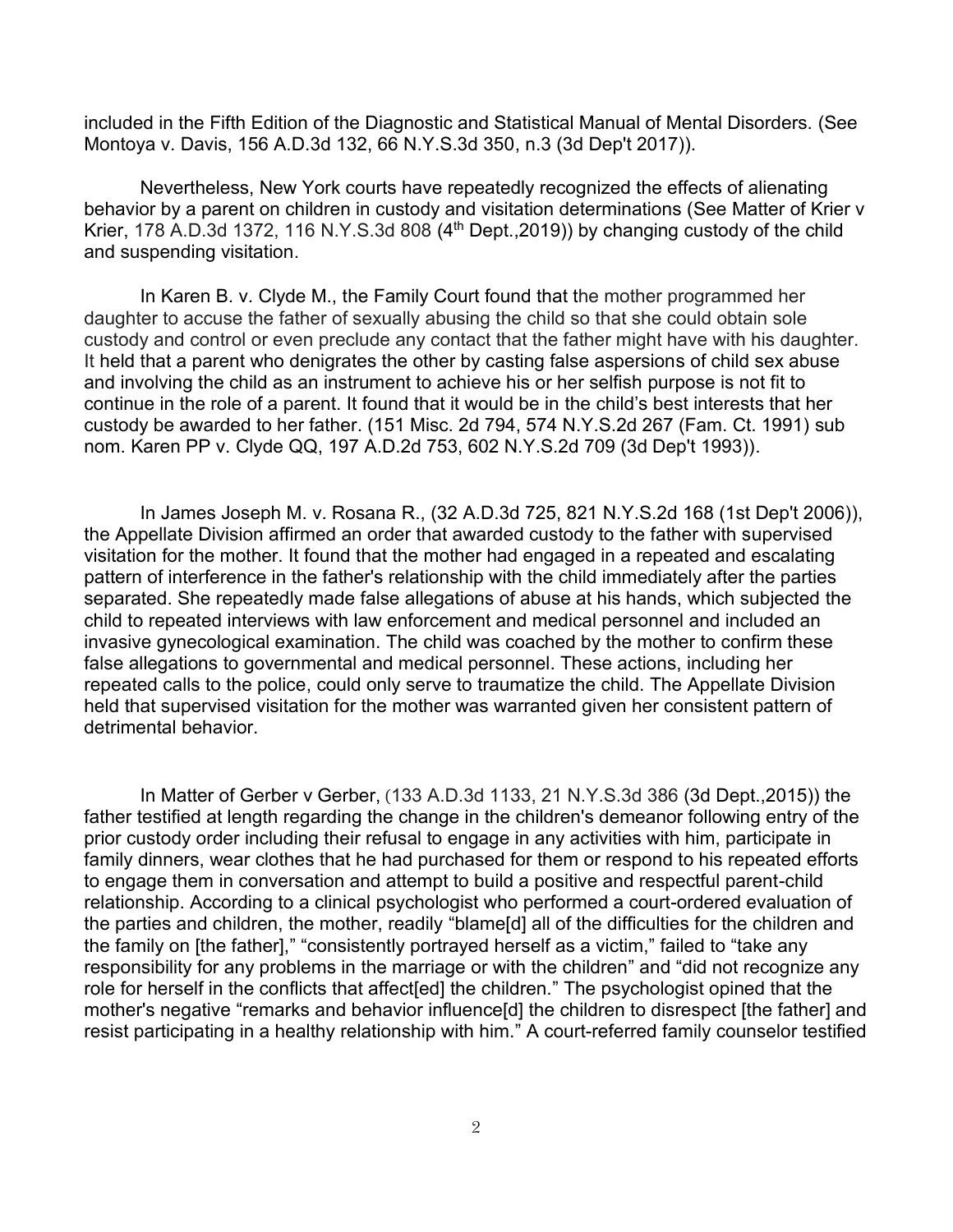included in the Fifth Edition of the Diagnostic and Statistical Manual of Mental Disorders. (See Montoya v. Davis, 156 A.D.3d 132, 66 N.Y.S.3d 350, n.3 (3d Dep't 2017)).

Nevertheless, New York courts have repeatedly recognized the effects of alienating behavior by a parent on children in custody and visitation determinations (See Matter of Krier v Krier, 178 A.D.3d 1372, 116 N.Y.S.3d 808 (4<sup>th</sup> Dept., 2019)) by changing custody of the child and suspending visitation.

In Karen B. v. Clyde M., the Family Court found that the mother programmed her daughter to accuse the father of sexually abusing the child so that she could obtain sole custody and control or even preclude any contact that the father might have with his daughter. It held that a parent who denigrates the other by casting false aspersions of child sex abuse and involving the child as an instrument to achieve his or her selfish purpose is not fit to continue in the role of a parent. It found that it would be in the child's best interests that her custody be awarded to her father. (151 Misc. 2d 794, 574 N.Y.S.2d 267 (Fam. Ct. 1991) sub nom. Karen PP v. Clyde QQ, 197 A.D.2d 753, 602 N.Y.S.2d 709 (3d Dep't 1993)).

In James Joseph M. v. Rosana R., (32 A.D.3d 725, 821 N.Y.S.2d 168 (1st Dep't 2006)), the Appellate Division affirmed an order that awarded custody to the father with supervised visitation for the mother. It found that the mother had engaged in a repeated and escalating pattern of interference in the father's relationship with the child immediately after the parties separated. She repeatedly made false allegations of abuse at his hands, which subjected the child to repeated interviews with law enforcement and medical personnel and included an invasive gynecological examination. The child was coached by the mother to confirm these false allegations to governmental and medical personnel. These actions, including her repeated calls to the police, could only serve to traumatize the child. The Appellate Division held that supervised visitation for the mother was warranted given her consistent pattern of detrimental behavior.

In Matter of Gerber v Gerber, (133 A.D.3d 1133, 21 N.Y.S.3d 386 (3d Dept.,2015)) the father testified at length regarding the change in the children's demeanor following entry of the prior custody order including their refusal to engage in any activities with him, participate in family dinners, wear clothes that he had purchased for them or respond to his repeated efforts to engage them in conversation and attempt to build a positive and respectful parent-child relationship. According to a clinical psychologist who performed a court-ordered evaluation of the parties and children, the mother, readily "blame[d] all of the difficulties for the children and the family on [the father]," "consistently portrayed herself as a victim," failed to "take any responsibility for any problems in the marriage or with the children" and "did not recognize any role for herself in the conflicts that affect[ed] the children." The psychologist opined that the mother's negative "remarks and behavior influence[d] the children to disrespect [the father] and resist participating in a healthy relationship with him." A court-referred family counselor testified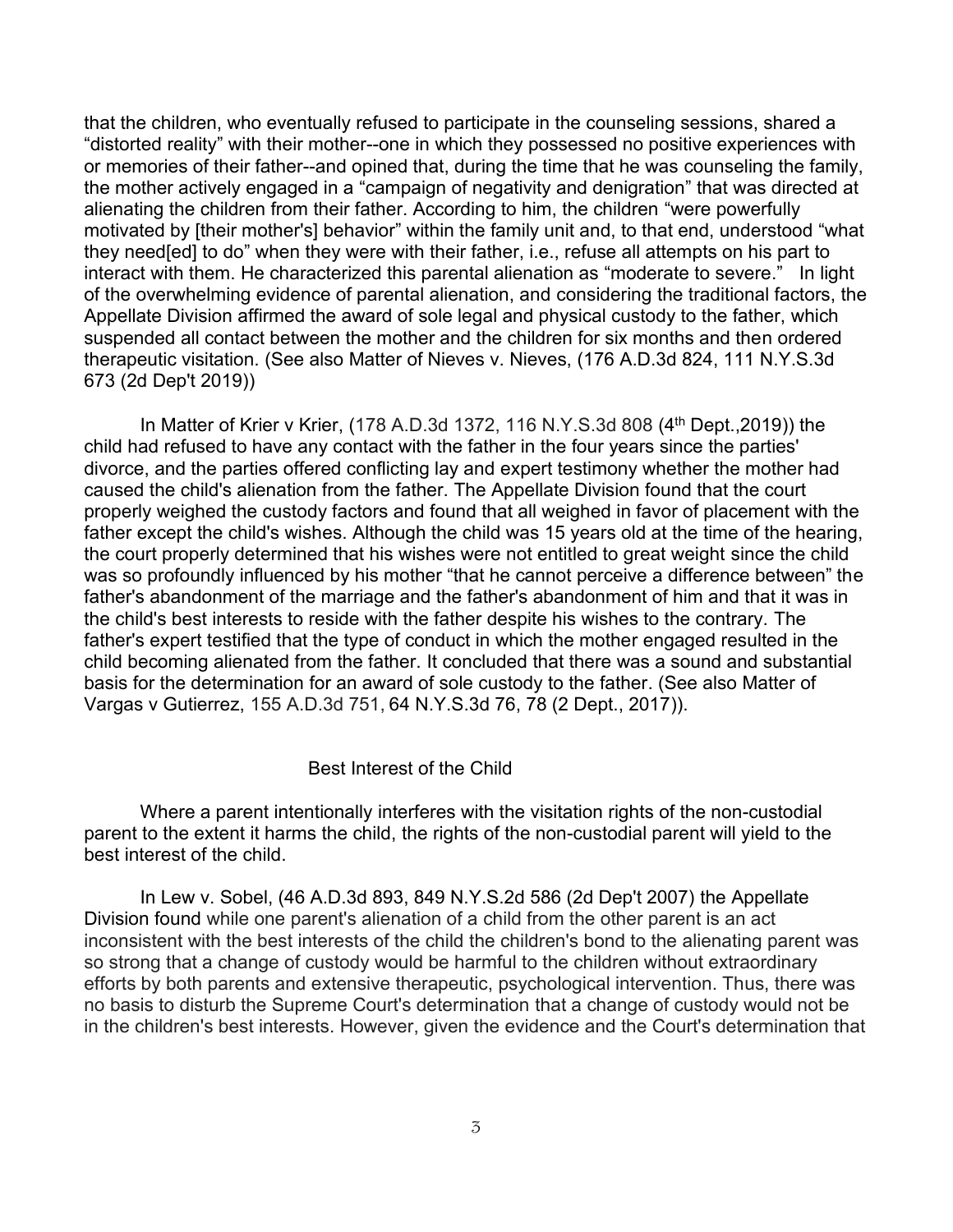that the children, who eventually refused to participate in the counseling sessions, shared a "distorted reality" with their mother--one in which they possessed no positive experiences with or memories of their father--and opined that, during the time that he was counseling the family, the mother actively engaged in a "campaign of negativity and denigration" that was directed at alienating the children from their father. According to him, the children "were powerfully motivated by [their mother's] behavior" within the family unit and, to that end, understood "what they need[ed] to do" when they were with their father, i.e., refuse all attempts on his part to interact with them. He characterized this parental alienation as "moderate to severe." In light of the overwhelming evidence of parental alienation, and considering the traditional factors, the Appellate Division affirmed the award of sole legal and physical custody to the father, which suspended all contact between the mother and the children for six months and then ordered therapeutic visitation. (See also Matter of Nieves v. Nieves, (176 A.D.3d 824, 111 N.Y.S.3d 673 (2d Dep't 2019))

In Matter of Krier v Krier, (178 A.D.3d 1372, 116 N.Y.S.3d 808 (4th Dept.,2019)) the child had refused to have any contact with the father in the four years since the parties' divorce, and the parties offered conflicting lay and expert testimony whether the mother had caused the child's alienation from the father. The Appellate Division found that the court properly weighed the custody factors and found that all weighed in favor of placement with the father except the child's wishes. Although the child was 15 years old at the time of the hearing, the court properly determined that his wishes were not entitled to great weight since the child was so profoundly influenced by his mother "that he cannot perceive a difference between" the father's abandonment of the marriage and the father's abandonment of him and that it was in the child's best interests to reside with the father despite his wishes to the contrary. The father's expert testified that the type of conduct in which the mother engaged resulted in the child becoming alienated from the father. It concluded that there was a sound and substantial basis for the determination for an award of sole custody to the father. (See also Matter of Vargas v Gutierrez, 155 A.D.3d 751, 64 N.Y.S.3d 76, 78 (2 Dept., 2017)).

## Best Interest of the Child

Where a parent intentionally interferes with the visitation rights of the non-custodial parent to the extent it harms the child, the rights of the non-custodial parent will yield to the best interest of the child.

In Lew v. Sobel, (46 A.D.3d 893, 849 N.Y.S.2d 586 (2d Dep't 2007) the Appellate Division found while one parent's alienation of a child from the other parent is an act inconsistent with the best interests of the child the children's bond to the alienating parent was so strong that a change of custody would be harmful to the children without extraordinary efforts by both parents and extensive therapeutic, psychological intervention. Thus, there was no basis to disturb the Supreme Court's determination that a change of custody would not be in the children's best interests. However, given the evidence and the Court's determination that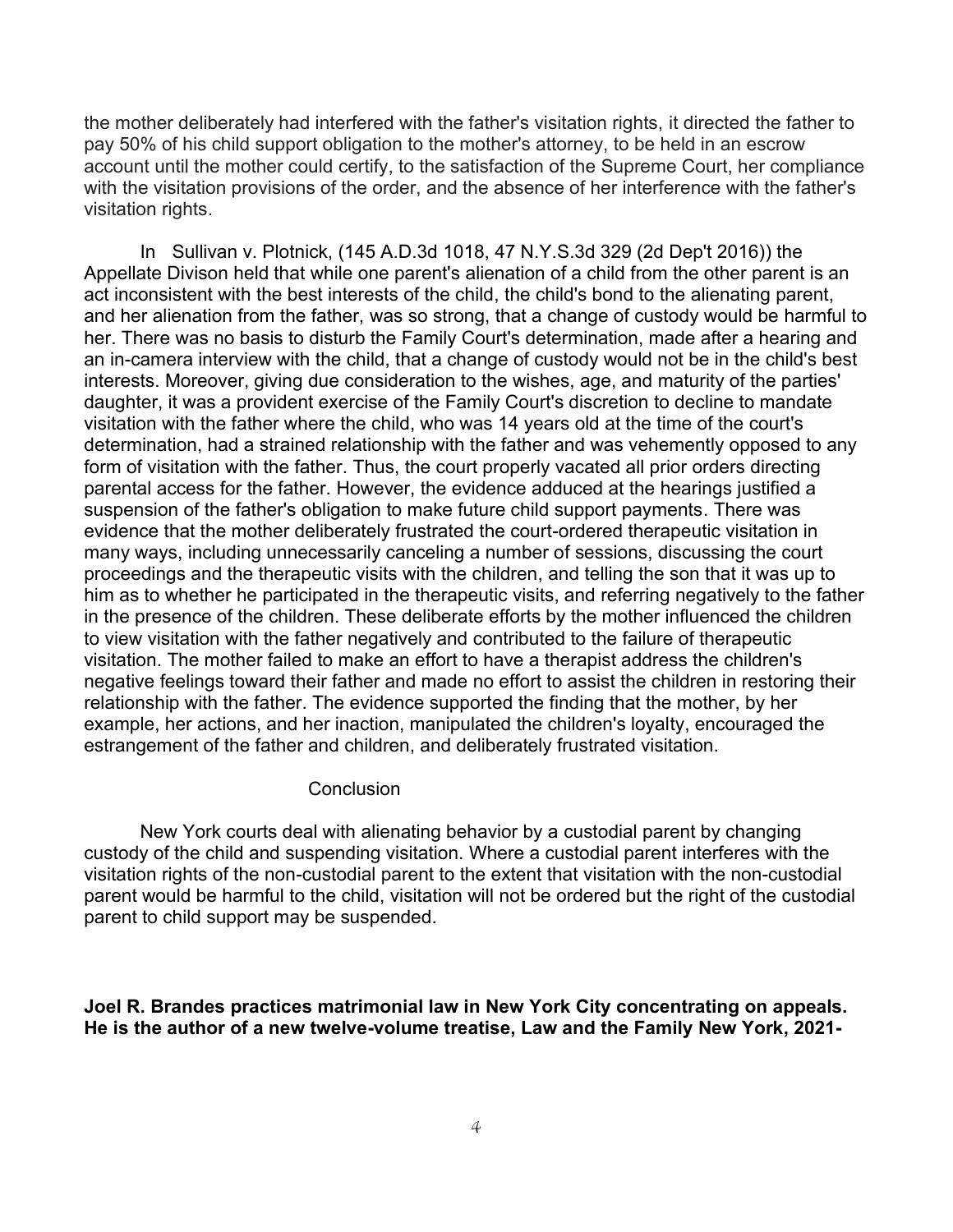the mother deliberately had interfered with the father's visitation rights, it directed the father to pay 50% of his child support obligation to the mother's attorney, to be held in an escrow account until the mother could certify, to the satisfaction of the Supreme Court, her compliance with the visitation provisions of the order, and the absence of her interference with the father's visitation rights.

In Sullivan v. Plotnick, (145 A.D.3d 1018, 47 N.Y.S.3d 329 (2d Dep't 2016)) the Appellate Divison held that while one parent's alienation of a child from the other parent is an act inconsistent with the best interests of the child, the child's bond to the alienating parent, and her alienation from the father, was so strong, that a change of custody would be harmful to her. There was no basis to disturb the Family Court's determination, made after a hearing and an in-camera interview with the child, that a change of custody would not be in the child's best interests. Moreover, giving due consideration to the wishes, age, and maturity of the parties' daughter, it was a provident exercise of the Family Court's discretion to decline to mandate visitation with the father where the child, who was 14 years old at the time of the court's determination, had a strained relationship with the father and was vehemently opposed to any form of visitation with the father. Thus, the court properly vacated all prior orders directing parental access for the father. However, the evidence adduced at the hearings justified a suspension of the father's obligation to make future child support payments. There was evidence that the mother deliberately frustrated the court-ordered therapeutic visitation in many ways, including unnecessarily canceling a number of sessions, discussing the court proceedings and the therapeutic visits with the children, and telling the son that it was up to him as to whether he participated in the therapeutic visits, and referring negatively to the father in the presence of the children. These deliberate efforts by the mother influenced the children to view visitation with the father negatively and contributed to the failure of therapeutic visitation. The mother failed to make an effort to have a therapist address the children's negative feelings toward their father and made no effort to assist the children in restoring their relationship with the father. The evidence supported the finding that the mother, by her example, her actions, and her inaction, manipulated the children's loyalty, encouraged the estrangement of the father and children, and deliberately frustrated visitation.

## **Conclusion**

New York courts deal with alienating behavior by a custodial parent by changing custody of the child and suspending visitation. Where a custodial parent interferes with the visitation rights of the non-custodial parent to the extent that visitation with the non-custodial parent would be harmful to the child, visitation will not be ordered but the right of the custodial parent to child support may be suspended.

**Joel R. Brandes practices matrimonial law in New York City concentrating on appeals. He is the author of a new twelve-volume treatise, Law and the Family New York, 2021-**